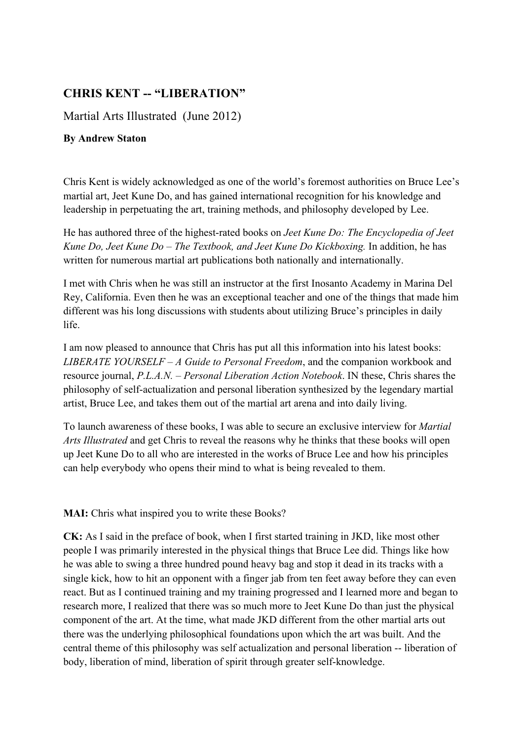## **CHRIS KENT -- "LIBERATION"**

Martial Arts Illustrated (June 2012)

## **By Andrew Staton**

Chris Kent is widely acknowledged as one of the world's foremost authorities on Bruce Lee's martial art, Jeet Kune Do, and has gained international recognition for his knowledge and leadership in perpetuating the art, training methods, and philosophy developed by Lee.

He has authored three of the highest-rated books on *Jeet Kune Do: The Encyclopedia of Jeet Kune Do, Jeet Kune Do – The Textbook, and Jeet Kune Do Kickboxing.* In addition, he has written for numerous martial art publications both nationally and internationally.

I met with Chris when he was still an instructor at the first Inosanto Academy in Marina Del Rey, California. Even then he was an exceptional teacher and one of the things that made him different was his long discussions with students about utilizing Bruce's principles in daily life.

I am now pleased to announce that Chris has put all this information into his latest books: *LIBERATE YOURSELF – A Guide to Personal Freedom*, and the companion workbook and resource journal, *P.L.A.N. – Personal Liberation Action Notebook*. IN these, Chris shares the philosophy of self-actualization and personal liberation synthesized by the legendary martial artist, Bruce Lee, and takes them out of the martial art arena and into daily living.

To launch awareness of these books, I was able to secure an exclusive interview for *Martial Arts Illustrated* and get Chris to reveal the reasons why he thinks that these books will open up Jeet Kune Do to all who are interested in the works of Bruce Lee and how his principles can help everybody who opens their mind to what is being revealed to them.

**MAI:** Chris what inspired you to write these Books?

**CK:** As I said in the preface of book, when I first started training in JKD, like most other people I was primarily interested in the physical things that Bruce Lee did. Things like how he was able to swing a three hundred pound heavy bag and stop it dead in its tracks with a single kick, how to hit an opponent with a finger jab from ten feet away before they can even react. But as I continued training and my training progressed and I learned more and began to research more, I realized that there was so much more to Jeet Kune Do than just the physical component of the art. At the time, what made JKD different from the other martial arts out there was the underlying philosophical foundations upon which the art was built. And the central theme of this philosophy was self actualization and personal liberation -- liberation of body, liberation of mind, liberation of spirit through greater self-knowledge.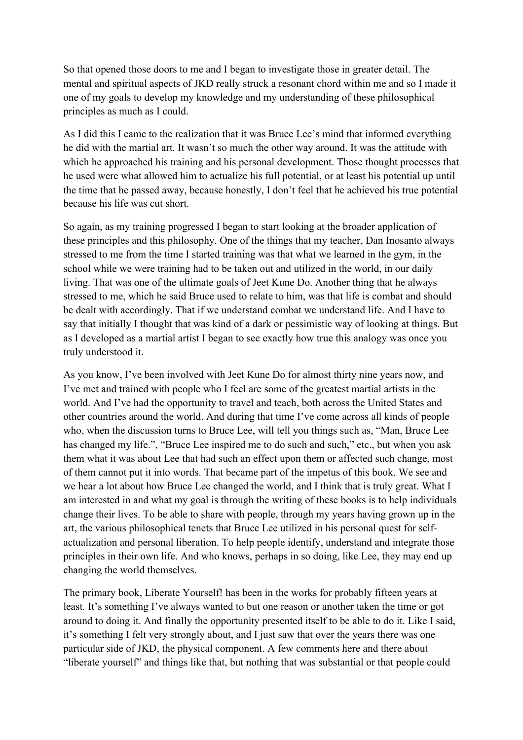So that opened those doors to me and I began to investigate those in greater detail. The mental and spiritual aspects of JKD really struck a resonant chord within me and so I made it one of my goals to develop my knowledge and my understanding of these philosophical principles as much as I could.

As I did this I came to the realization that it was Bruce Lee's mind that informed everything he did with the martial art. It wasn't so much the other way around. It was the attitude with which he approached his training and his personal development. Those thought processes that he used were what allowed him to actualize his full potential, or at least his potential up until the time that he passed away, because honestly, I don't feel that he achieved his true potential because his life was cut short.

So again, as my training progressed I began to start looking at the broader application of these principles and this philosophy. One of the things that my teacher, Dan Inosanto always stressed to me from the time I started training was that what we learned in the gym, in the school while we were training had to be taken out and utilized in the world, in our daily living. That was one of the ultimate goals of Jeet Kune Do. Another thing that he always stressed to me, which he said Bruce used to relate to him, was that life is combat and should be dealt with accordingly. That if we understand combat we understand life. And I have to say that initially I thought that was kind of a dark or pessimistic way of looking at things. But as I developed as a martial artist I began to see exactly how true this analogy was once you truly understood it.

As you know, I've been involved with Jeet Kune Do for almost thirty nine years now, and I've met and trained with people who I feel are some of the greatest martial artists in the world. And I've had the opportunity to travel and teach, both across the United States and other countries around the world. And during that time I've come across all kinds of people who, when the discussion turns to Bruce Lee, will tell you things such as, "Man, Bruce Lee has changed my life.", "Bruce Lee inspired me to do such and such," etc., but when you ask them what it was about Lee that had such an effect upon them or affected such change, most of them cannot put it into words. That became part of the impetus of this book. We see and we hear a lot about how Bruce Lee changed the world, and I think that is truly great. What I am interested in and what my goal is through the writing of these books is to help individuals change their lives. To be able to share with people, through my years having grown up in the art, the various philosophical tenets that Bruce Lee utilized in his personal quest for selfactualization and personal liberation. To help people identify, understand and integrate those principles in their own life. And who knows, perhaps in so doing, like Lee, they may end up changing the world themselves.

The primary book, Liberate Yourself! has been in the works for probably fifteen years at least. It's something I've always wanted to but one reason or another taken the time or got around to doing it. And finally the opportunity presented itself to be able to do it. Like I said, it's something I felt very strongly about, and I just saw that over the years there was one particular side of JKD, the physical component. A few comments here and there about "liberate yourself" and things like that, but nothing that was substantial or that people could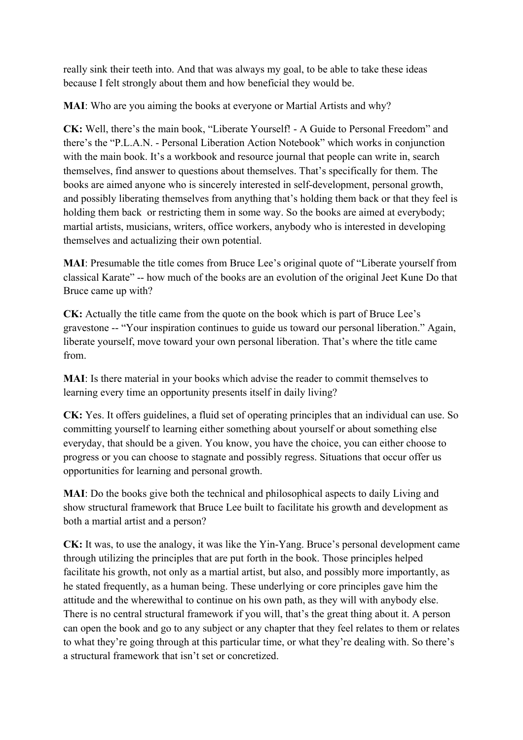really sink their teeth into. And that was always my goal, to be able to take these ideas because I felt strongly about them and how beneficial they would be.

**MAI**: Who are you aiming the books at everyone or Martial Artists and why?

**CK:** Well, there's the main book, "Liberate Yourself! - A Guide to Personal Freedom" and there's the "P.L.A.N. - Personal Liberation Action Notebook" which works in conjunction with the main book. It's a workbook and resource journal that people can write in, search themselves, find answer to questions about themselves. That's specifically for them. The books are aimed anyone who is sincerely interested in self-development, personal growth, and possibly liberating themselves from anything that's holding them back or that they feel is holding them back or restricting them in some way. So the books are aimed at everybody; martial artists, musicians, writers, office workers, anybody who is interested in developing themselves and actualizing their own potential.

**MAI**: Presumable the title comes from Bruce Lee's original quote of "Liberate yourself from classical Karate" -- how much of the books are an evolution of the original Jeet Kune Do that Bruce came up with?

**CK:** Actually the title came from the quote on the book which is part of Bruce Lee's gravestone -- "Your inspiration continues to guide us toward our personal liberation." Again, liberate yourself, move toward your own personal liberation. That's where the title came from.

**MAI**: Is there material in your books which advise the reader to commit themselves to learning every time an opportunity presents itself in daily living?

**CK:** Yes. It offers guidelines, a fluid set of operating principles that an individual can use. So committing yourself to learning either something about yourself or about something else everyday, that should be a given. You know, you have the choice, you can either choose to progress or you can choose to stagnate and possibly regress. Situations that occur offer us opportunities for learning and personal growth.

**MAI**: Do the books give both the technical and philosophical aspects to daily Living and show structural framework that Bruce Lee built to facilitate his growth and development as both a martial artist and a person?

**CK:** It was, to use the analogy, it was like the Yin-Yang. Bruce's personal development came through utilizing the principles that are put forth in the book. Those principles helped facilitate his growth, not only as a martial artist, but also, and possibly more importantly, as he stated frequently, as a human being. These underlying or core principles gave him the attitude and the wherewithal to continue on his own path, as they will with anybody else. There is no central structural framework if you will, that's the great thing about it. A person can open the book and go to any subject or any chapter that they feel relates to them or relates to what they're going through at this particular time, or what they're dealing with. So there's a structural framework that isn't set or concretized.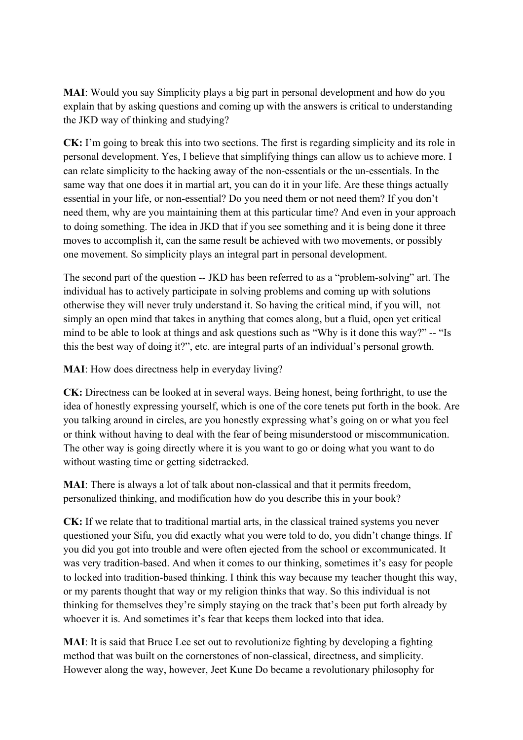**MAI**: Would you say Simplicity plays a big part in personal development and how do you explain that by asking questions and coming up with the answers is critical to understanding the JKD way of thinking and studying?

**CK:** I'm going to break this into two sections. The first is regarding simplicity and its role in personal development. Yes, I believe that simplifying things can allow us to achieve more. I can relate simplicity to the hacking away of the non-essentials or the un-essentials. In the same way that one does it in martial art, you can do it in your life. Are these things actually essential in your life, or non-essential? Do you need them or not need them? If you don't need them, why are you maintaining them at this particular time? And even in your approach to doing something. The idea in JKD that if you see something and it is being done it three moves to accomplish it, can the same result be achieved with two movements, or possibly one movement. So simplicity plays an integral part in personal development.

The second part of the question -- JKD has been referred to as a "problem-solving" art. The individual has to actively participate in solving problems and coming up with solutions otherwise they will never truly understand it. So having the critical mind, if you will, not simply an open mind that takes in anything that comes along, but a fluid, open yet critical mind to be able to look at things and ask questions such as "Why is it done this way?" -- "Is this the best way of doing it?", etc. are integral parts of an individual's personal growth.

**MAI**: How does directness help in everyday living?

**CK:** Directness can be looked at in several ways. Being honest, being forthright, to use the idea of honestly expressing yourself, which is one of the core tenets put forth in the book. Are you talking around in circles, are you honestly expressing what's going on or what you feel or think without having to deal with the fear of being misunderstood or miscommunication. The other way is going directly where it is you want to go or doing what you want to do without wasting time or getting sidetracked.

**MAI**: There is always a lot of talk about non-classical and that it permits freedom, personalized thinking, and modification how do you describe this in your book?

**CK:** If we relate that to traditional martial arts, in the classical trained systems you never questioned your Sifu, you did exactly what you were told to do, you didn't change things. If you did you got into trouble and were often ejected from the school or excommunicated. It was very tradition-based. And when it comes to our thinking, sometimes it's easy for people to locked into tradition-based thinking. I think this way because my teacher thought this way, or my parents thought that way or my religion thinks that way. So this individual is not thinking for themselves they're simply staying on the track that's been put forth already by whoever it is. And sometimes it's fear that keeps them locked into that idea.

**MAI**: It is said that Bruce Lee set out to revolutionize fighting by developing a fighting method that was built on the cornerstones of non-classical, directness, and simplicity. However along the way, however, Jeet Kune Do became a revolutionary philosophy for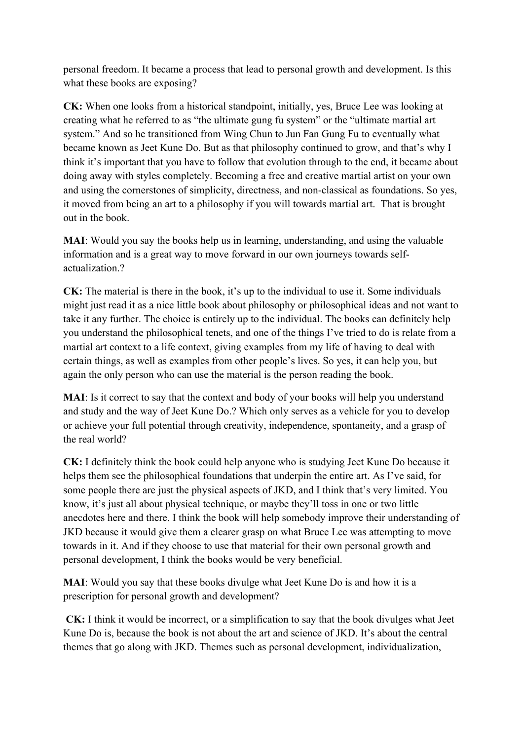personal freedom. It became a process that lead to personal growth and development. Is this what these books are exposing?

**CK:** When one looks from a historical standpoint, initially, yes, Bruce Lee was looking at creating what he referred to as "the ultimate gung fu system" or the "ultimate martial art system." And so he transitioned from Wing Chun to Jun Fan Gung Fu to eventually what became known as Jeet Kune Do. But as that philosophy continued to grow, and that's why I think it's important that you have to follow that evolution through to the end, it became about doing away with styles completely. Becoming a free and creative martial artist on your own and using the cornerstones of simplicity, directness, and non-classical as foundations. So yes, it moved from being an art to a philosophy if you will towards martial art. That is brought out in the book.

**MAI**: Would you say the books help us in learning, understanding, and using the valuable information and is a great way to move forward in our own journeys towards selfactualization.?

**CK:** The material is there in the book, it's up to the individual to use it. Some individuals might just read it as a nice little book about philosophy or philosophical ideas and not want to take it any further. The choice is entirely up to the individual. The books can definitely help you understand the philosophical tenets, and one of the things I've tried to do is relate from a martial art context to a life context, giving examples from my life of having to deal with certain things, as well as examples from other people's lives. So yes, it can help you, but again the only person who can use the material is the person reading the book.

**MAI**: Is it correct to say that the context and body of your books will help you understand and study and the way of Jeet Kune Do.? Which only serves as a vehicle for you to develop or achieve your full potential through creativity, independence, spontaneity, and a grasp of the real world?

**CK:** I definitely think the book could help anyone who is studying Jeet Kune Do because it helps them see the philosophical foundations that underpin the entire art. As I've said, for some people there are just the physical aspects of JKD, and I think that's very limited. You know, it's just all about physical technique, or maybe they'll toss in one or two little anecdotes here and there. I think the book will help somebody improve their understanding of JKD because it would give them a clearer grasp on what Bruce Lee was attempting to move towards in it. And if they choose to use that material for their own personal growth and personal development, I think the books would be very beneficial.

**MAI**: Would you say that these books divulge what Jeet Kune Do is and how it is a prescription for personal growth and development?

**CK:** I think it would be incorrect, or a simplification to say that the book divulges what Jeet Kune Do is, because the book is not about the art and science of JKD. It's about the central themes that go along with JKD. Themes such as personal development, individualization,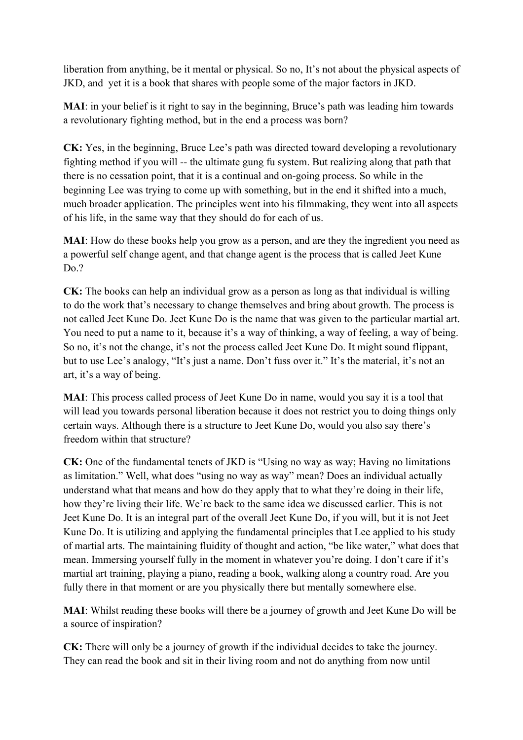liberation from anything, be it mental or physical. So no, It's not about the physical aspects of JKD, and yet it is a book that shares with people some of the major factors in JKD.

**MAI**: in your belief is it right to say in the beginning, Bruce's path was leading him towards a revolutionary fighting method, but in the end a process was born?

**CK:** Yes, in the beginning, Bruce Lee's path was directed toward developing a revolutionary fighting method if you will -- the ultimate gung fu system. But realizing along that path that there is no cessation point, that it is a continual and on-going process. So while in the beginning Lee was trying to come up with something, but in the end it shifted into a much, much broader application. The principles went into his filmmaking, they went into all aspects of his life, in the same way that they should do for each of us.

**MAI**: How do these books help you grow as a person, and are they the ingredient you need as a powerful self change agent, and that change agent is the process that is called Jeet Kune Do.?

**CK:** The books can help an individual grow as a person as long as that individual is willing to do the work that's necessary to change themselves and bring about growth. The process is not called Jeet Kune Do. Jeet Kune Do is the name that was given to the particular martial art. You need to put a name to it, because it's a way of thinking, a way of feeling, a way of being. So no, it's not the change, it's not the process called Jeet Kune Do. It might sound flippant, but to use Lee's analogy, "It's just a name. Don't fuss over it." It's the material, it's not an art, it's a way of being.

**MAI**: This process called process of Jeet Kune Do in name, would you say it is a tool that will lead you towards personal liberation because it does not restrict you to doing things only certain ways. Although there is a structure to Jeet Kune Do, would you also say there's freedom within that structure?

**CK:** One of the fundamental tenets of JKD is "Using no way as way; Having no limitations as limitation." Well, what does "using no way as way" mean? Does an individual actually understand what that means and how do they apply that to what they're doing in their life, how they're living their life. We're back to the same idea we discussed earlier. This is not Jeet Kune Do. It is an integral part of the overall Jeet Kune Do, if you will, but it is not Jeet Kune Do. It is utilizing and applying the fundamental principles that Lee applied to his study of martial arts. The maintaining fluidity of thought and action, "be like water," what does that mean. Immersing yourself fully in the moment in whatever you're doing. I don't care if it's martial art training, playing a piano, reading a book, walking along a country road. Are you fully there in that moment or are you physically there but mentally somewhere else.

**MAI**: Whilst reading these books will there be a journey of growth and Jeet Kune Do will be a source of inspiration?

**CK:** There will only be a journey of growth if the individual decides to take the journey. They can read the book and sit in their living room and not do anything from now until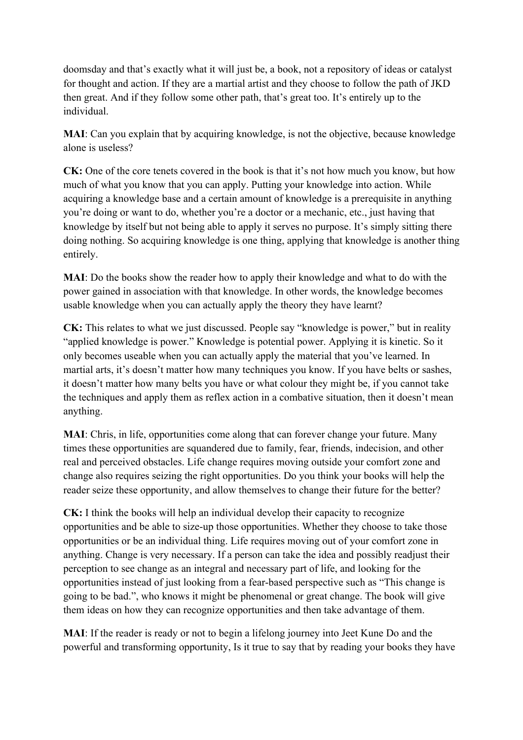doomsday and that's exactly what it will just be, a book, not a repository of ideas or catalyst for thought and action. If they are a martial artist and they choose to follow the path of JKD then great. And if they follow some other path, that's great too. It's entirely up to the individual.

**MAI**: Can you explain that by acquiring knowledge, is not the objective, because knowledge alone is useless?

**CK:** One of the core tenets covered in the book is that it's not how much you know, but how much of what you know that you can apply. Putting your knowledge into action. While acquiring a knowledge base and a certain amount of knowledge is a prerequisite in anything you're doing or want to do, whether you're a doctor or a mechanic, etc., just having that knowledge by itself but not being able to apply it serves no purpose. It's simply sitting there doing nothing. So acquiring knowledge is one thing, applying that knowledge is another thing entirely.

**MAI**: Do the books show the reader how to apply their knowledge and what to do with the power gained in association with that knowledge. In other words, the knowledge becomes usable knowledge when you can actually apply the theory they have learnt?

**CK:** This relates to what we just discussed. People say "knowledge is power," but in reality "applied knowledge is power." Knowledge is potential power. Applying it is kinetic. So it only becomes useable when you can actually apply the material that you've learned. In martial arts, it's doesn't matter how many techniques you know. If you have belts or sashes, it doesn't matter how many belts you have or what colour they might be, if you cannot take the techniques and apply them as reflex action in a combative situation, then it doesn't mean anything.

**MAI**: Chris, in life, opportunities come along that can forever change your future. Many times these opportunities are squandered due to family, fear, friends, indecision, and other real and perceived obstacles. Life change requires moving outside your comfort zone and change also requires seizing the right opportunities. Do you think your books will help the reader seize these opportunity, and allow themselves to change their future for the better?

**CK:** I think the books will help an individual develop their capacity to recognize opportunities and be able to size-up those opportunities. Whether they choose to take those opportunities or be an individual thing. Life requires moving out of your comfort zone in anything. Change is very necessary. If a person can take the idea and possibly readjust their perception to see change as an integral and necessary part of life, and looking for the opportunities instead of just looking from a fear-based perspective such as "This change is going to be bad.", who knows it might be phenomenal or great change. The book will give them ideas on how they can recognize opportunities and then take advantage of them.

**MAI**: If the reader is ready or not to begin a lifelong journey into Jeet Kune Do and the powerful and transforming opportunity, Is it true to say that by reading your books they have